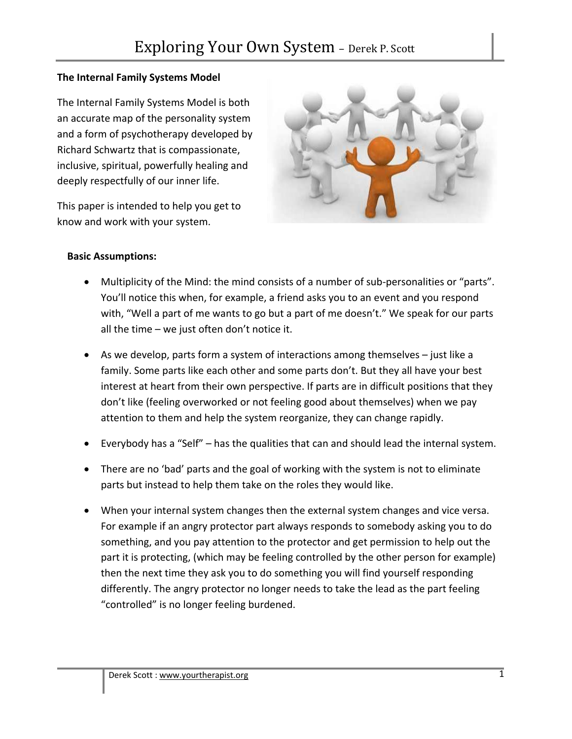## **The Internal Family Systems Model**

The Internal Family Systems Model is both an accurate map of the personality system and a form of psychotherapy developed by Richard Schwartz that is compassionate, inclusive, spiritual, powerfully healing and deeply respectfully of our inner life.

This paper is intended to help you get to know and work with your system.



#### **Basic Assumptions:**

- Multiplicity of the Mind: the mind consists of a number of sub‐personalities or "parts". You'll notice this when, for example, a friend asks you to an event and you respond with, "Well a part of me wants to go but a part of me doesn't." We speak for our parts all the time – we just often don't notice it.
- As we develop, parts form a system of interactions among themselves just like a family. Some parts like each other and some parts don't. But they all have your best interest at heart from their own perspective. If parts are in difficult positions that they don't like (feeling overworked or not feeling good about themselves) when we pay attention to them and help the system reorganize, they can change rapidly.
- Everybody has a "Self" has the qualities that can and should lead the internal system.
- There are no 'bad' parts and the goal of working with the system is not to eliminate parts but instead to help them take on the roles they would like.
- When your internal system changes then the external system changes and vice versa. For example if an angry protector part always responds to somebody asking you to do something, and you pay attention to the protector and get permission to help out the part it is protecting, (which may be feeling controlled by the other person for example) then the next time they ask you to do something you will find yourself responding differently. The angry protector no longer needs to take the lead as the part feeling "controlled" is no longer feeling burdened.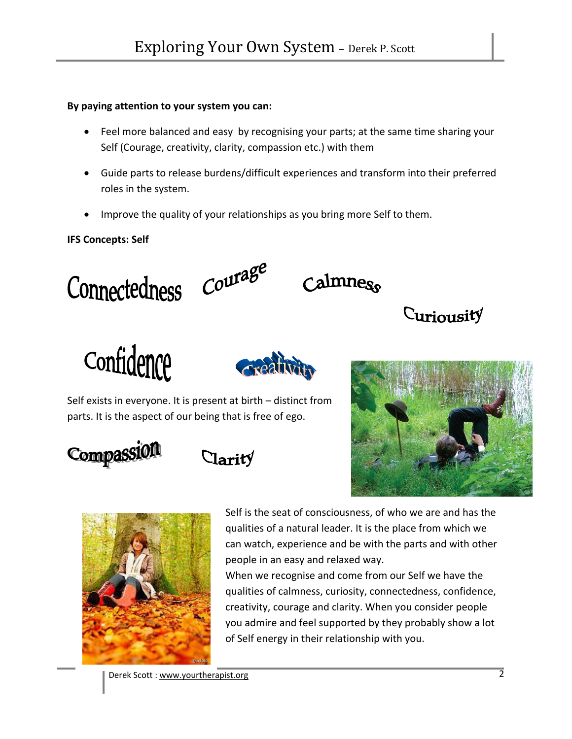## **By paying attention to your system you can:**

- Feel more balanced and easy by recognising your parts; at the same time sharing your Self (Courage, creativity, clarity, compassion etc.) with them
- Guide parts to release burdens/difficult experiences and transform into their preferred roles in the system.
- Improve the quality of your relationships as you bring more Self to them.

# **IFS Concepts: Self**

# Connectedness Courage



Curiousity

Confidence



Self exists in everyone. It is present at birth – distinct from parts. It is the aspect of our being that is free of ego.









Self is the seat of consciousness, of who we are and has the qualities of a natural leader. It is the place from which we can watch, experience and be with the parts and with other people in an easy and relaxed way.

When we recognise and come from our Self we have the qualities of calmness, curiosity, connectedness, confidence, creativity, courage and clarity. When you consider people you admire and feel supported by they probably show a lot of Self energy in their relationship with you.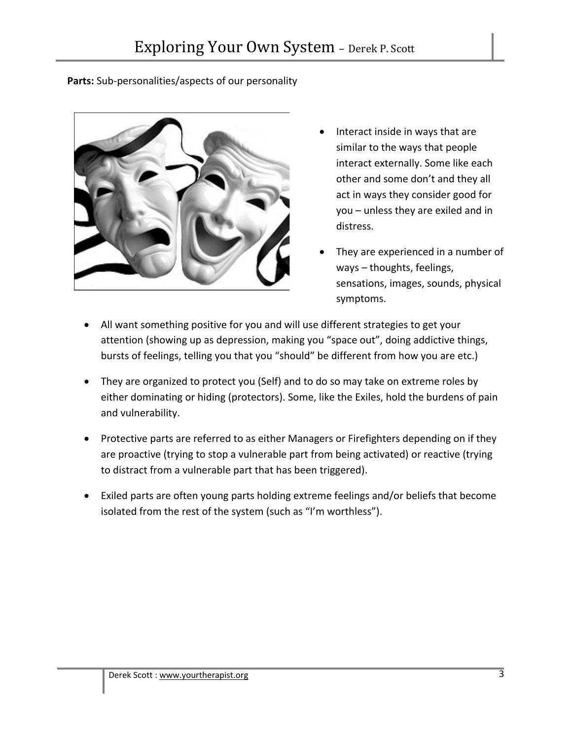## **Parts:** Sub‐personalities/aspects of our personality



- Interact inside in ways that are similar to the ways that people interact externally. Some like each other and some don't and they all act in ways they consider good for you – unless they are exiled and in distress.
- They are experienced in a number of ways – thoughts, feelings, sensations, images, sounds, physical symptoms.
- All want something positive for you and will use different strategies to get your attention (showing up as depression, making you "space out", doing addictive things, bursts of feelings, telling you that you "should" be different from how you are etc.)
- They are organized to protect you (Self) and to do so may take on extreme roles by either dominating or hiding (protectors). Some, like the Exiles, hold the burdens of pain and vulnerability.
- Protective parts are referred to as either Managers or Firefighters depending on if they are proactive (trying to stop a vulnerable part from being activated) or reactive (trying to distract from a vulnerable part that has been triggered).
- Exiled parts are often young parts holding extreme feelings and/or beliefs that become isolated from the rest of the system (such as "I'm worthless").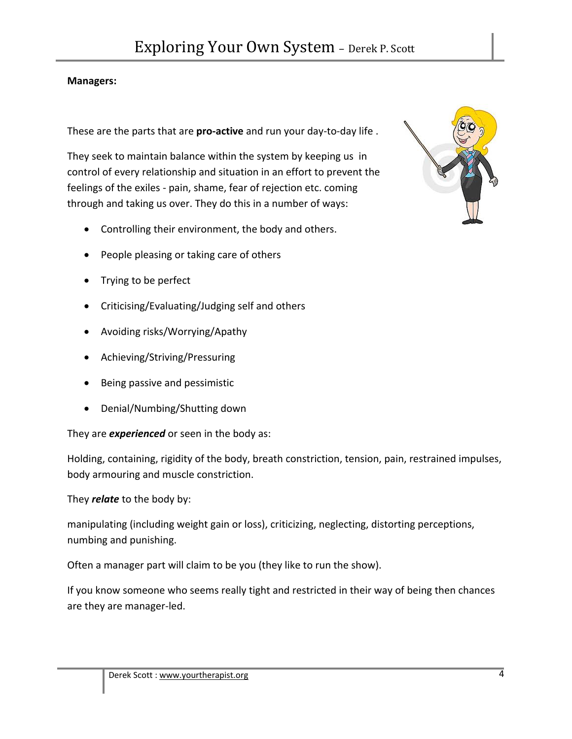## **Managers:**

These are the parts that are **pro‐active** and run your day‐to‐day life .

They seek to maintain balance within the system by keeping us in control of every relationship and situation in an effort to prevent the feelings of the exiles ‐ pain, shame, fear of rejection etc. coming through and taking us over. They do this in a number of ways:

- Controlling their environment, the body and others.
- People pleasing or taking care of others
- Trying to be perfect
- Criticising/Evaluating/Judging self and others
- Avoiding risks/Worrying/Apathy
- Achieving/Striving/Pressuring
- Being passive and pessimistic
- Denial/Numbing/Shutting down

They are *experienced* or seen in the body as:

Holding, containing, rigidity of the body, breath constriction, tension, pain, restrained impulses, body armouring and muscle constriction.

They *relate* to the body by:

manipulating (including weight gain or loss), criticizing, neglecting, distorting perceptions, numbing and punishing.

Often a manager part will claim to be you (they like to run the show).

If you know someone who seems really tight and restricted in their way of being then chances are they are manager‐led.

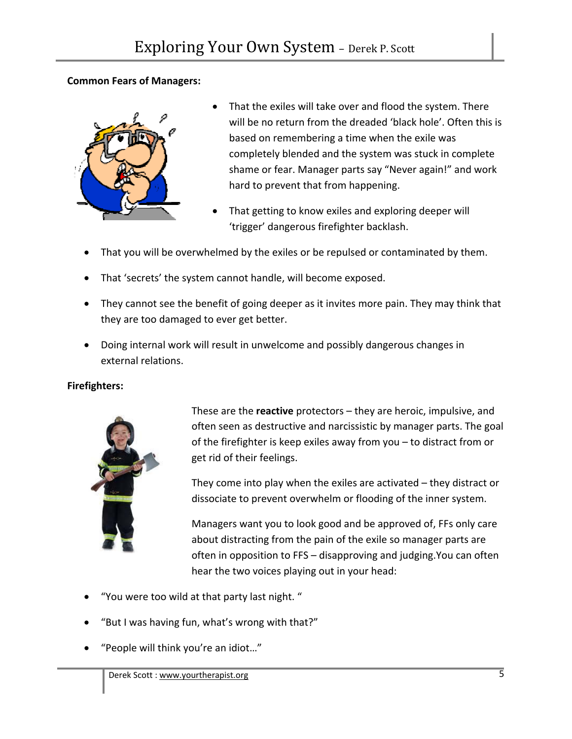## **Common Fears of Managers:**



- That the exiles will take over and flood the system. There will be no return from the dreaded 'black hole'. Often this is based on remembering a time when the exile was completely blended and the system was stuck in complete shame or fear. Manager parts say "Never again!" and work hard to prevent that from happening.
- That getting to know exiles and exploring deeper will 'trigger' dangerous firefighter backlash.
- That you will be overwhelmed by the exiles or be repulsed or contaminated by them.
- That 'secrets' the system cannot handle, will become exposed.
- They cannot see the benefit of going deeper as it invites more pain. They may think that they are too damaged to ever get better.
- Doing internal work will result in unwelcome and possibly dangerous changes in external relations.

## **Firefighters:**



These are the **reactive** protectors – they are heroic, impulsive, and often seen as destructive and narcissistic by manager parts. The goal of the firefighter is keep exiles away from you – to distract from or get rid of their feelings.

They come into play when the exiles are activated – they distract or dissociate to prevent overwhelm or flooding of the inner system.

Managers want you to look good and be approved of, FFs only care about distracting from the pain of the exile so manager parts are often in opposition to FFS – disapproving and judging.You can often hear the two voices playing out in your head:

- "You were too wild at that party last night. "
- "But I was having fun, what's wrong with that?"
- "People will think you're an idiot…"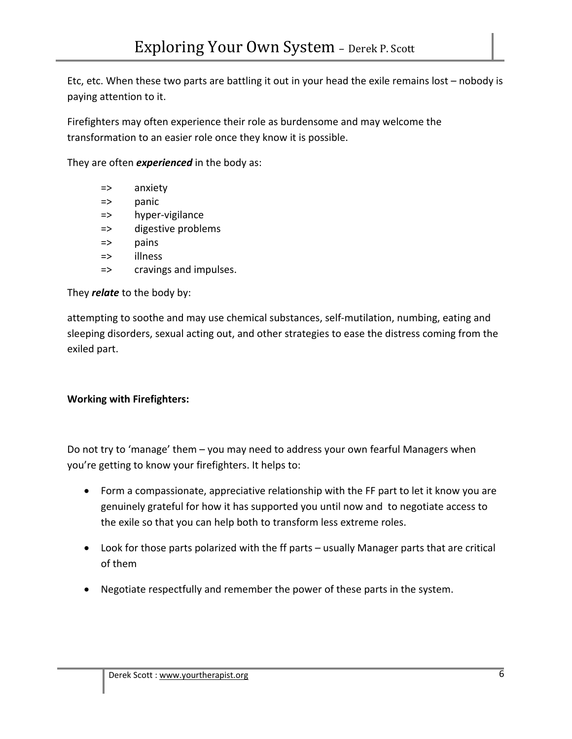Etc, etc. When these two parts are battling it out in your head the exile remains lost – nobody is paying attention to it.

Firefighters may often experience their role as burdensome and may welcome the transformation to an easier role once they know it is possible.

They are often *experienced* in the body as:

- => anxiety
- => panic
- => hyper‐vigilance
- => digestive problems
- => pains
- => illness
- => cravings and impulses.

They *relate* to the body by:

attempting to soothe and may use chemical substances, self‐mutilation, numbing, eating and sleeping disorders, sexual acting out, and other strategies to ease the distress coming from the exiled part.

## **Working with Firefighters:**

Do not try to 'manage' them – you may need to address your own fearful Managers when you're getting to know your firefighters. It helps to:

- Form a compassionate, appreciative relationship with the FF part to let it know you are genuinely grateful for how it has supported you until now and to negotiate access to the exile so that you can help both to transform less extreme roles.
- Look for those parts polarized with the ff parts usually Manager parts that are critical of them
- Negotiate respectfully and remember the power of these parts in the system.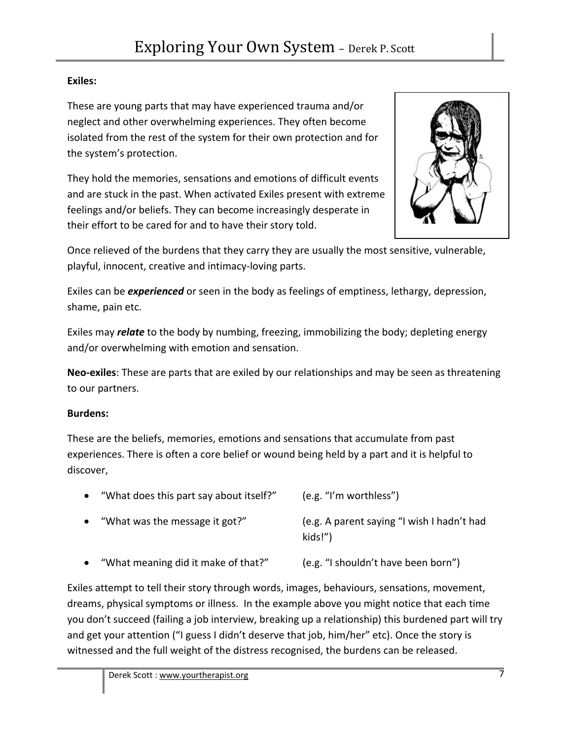# **Exiles:**

These are young parts that may have experienced trauma and/or neglect and other overwhelming experiences. They often become isolated from the rest of the system for their own protection and for the system's protection.

They hold the memories, sensations and emotions of difficult events and are stuck in the past. When activated Exiles present with extreme feelings and/or beliefs. They can become increasingly desperate in their effort to be cared for and to have their story told.



Once relieved of the burdens that they carry they are usually the most sensitive, vulnerable, playful, innocent, creative and intimacy‐loving parts.

Exiles can be *experienced* or seen in the body as feelings of emptiness, lethargy, depression, shame, pain etc.

Exiles may *relate* to the body by numbing, freezing, immobilizing the body; depleting energy and/or overwhelming with emotion and sensation.

**Neo‐exiles**: These are parts that are exiled by our relationships and may be seen as threatening to our partners.

# **Burdens:**

These are the beliefs, memories, emotions and sensations that accumulate from past experiences. There is often a core belief or wound being held by a part and it is helpful to discover,

| $\bullet$ | "What does this part say about itself?" | (e.g. "I'm worthless")                                |
|-----------|-----------------------------------------|-------------------------------------------------------|
|           | • "What was the message it got?"        | (e.g. A parent saying "I wish I hadn't had<br>kids!") |
|           | • "What meaning did it make of that?"   | (e.g. "I shouldn't have been born")                   |

Exiles attempt to tell their story through words, images, behaviours, sensations, movement, dreams, physical symptoms or illness. In the example above you might notice that each time you don't succeed (failing a job interview, breaking up a relationship) this burdened part will try and get your attention ("I guess I didn't deserve that job, him/her" etc). Once the story is witnessed and the full weight of the distress recognised, the burdens can be released.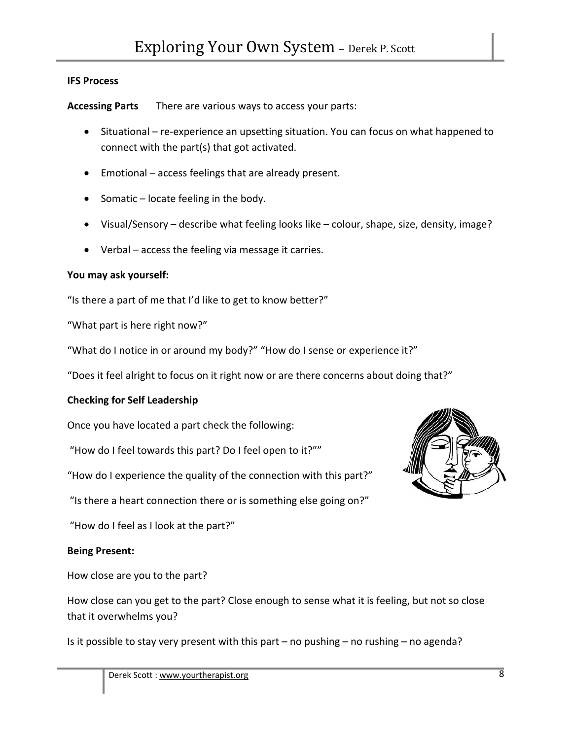#### **IFS Process**

**Accessing Parts** There are various ways to access your parts:

- Situational re‐experience an upsetting situation. You can focus on what happened to connect with the part(s) that got activated.
- Emotional access feelings that are already present.
- Somatic locate feeling in the body.
- Visual/Sensory describe what feeling looks like colour, shape, size, density, image?
- Verbal access the feeling via message it carries.

#### **You may ask yourself:**

"Is there a part of me that I'd like to get to know better?"

"What part is here right now?"

"What do I notice in or around my body?" "How do I sense or experience it?"

"Does it feel alright to focus on it right now or are there concerns about doing that?"

#### **Checking for Self Leadership**

Once you have located a part check the following:

"How do I feel towards this part? Do I feel open to it?""

"How do I experience the quality of the connection with this part?"

"Is there a heart connection there or is something else going on?"

"How do I feel as I look at the part?"

#### **Being Present:**

How close are you to the part?

How close can you get to the part? Close enough to sense what it is feeling, but not so close that it overwhelms you?

Is it possible to stay very present with this part – no pushing – no rushing – no agenda?

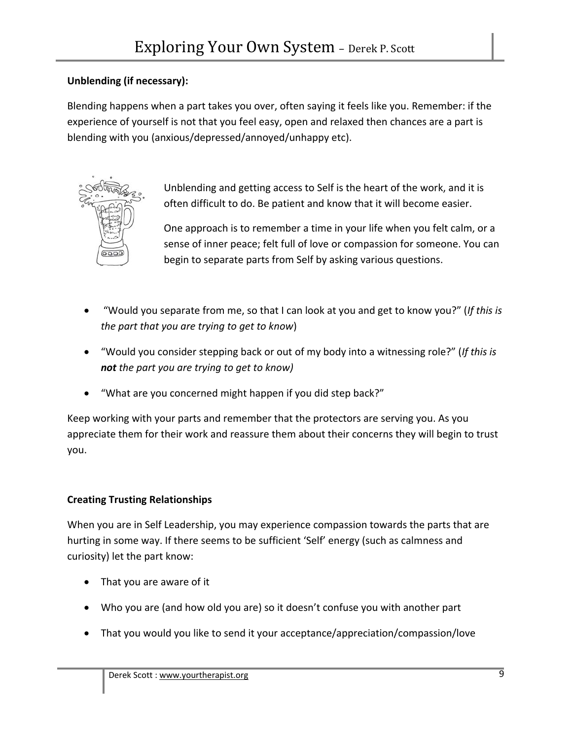# **Unblending (if necessary):**

Blending happens when a part takes you over, often saying it feels like you. Remember: if the experience of yourself is not that you feel easy, open and relaxed then chances are a part is blending with you (anxious/depressed/annoyed/unhappy etc).



Unblending and getting access to Self is the heart of the work, and it is often difficult to do. Be patient and know that it will become easier.

One approach is to remember a time in your life when you felt calm, or a sense of inner peace; felt full of love or compassion for someone. You can begin to separate parts from Self by asking various questions.

- "Would you separate from me, so that I can look at you and get to know you?" (*If this is the part that you are trying to get to know*)
- "Would you consider stepping back or out of my body into a witnessing role?" (*If this is not the part you are trying to get to know)*
- "What are you concerned might happen if you did step back?"

Keep working with your parts and remember that the protectors are serving you. As you appreciate them for their work and reassure them about their concerns they will begin to trust you.

# **Creating Trusting Relationships**

When you are in Self Leadership, you may experience compassion towards the parts that are hurting in some way. If there seems to be sufficient 'Self' energy (such as calmness and curiosity) let the part know:

- That you are aware of it
- Who you are (and how old you are) so it doesn't confuse you with another part
- That you would you like to send it your acceptance/appreciation/compassion/love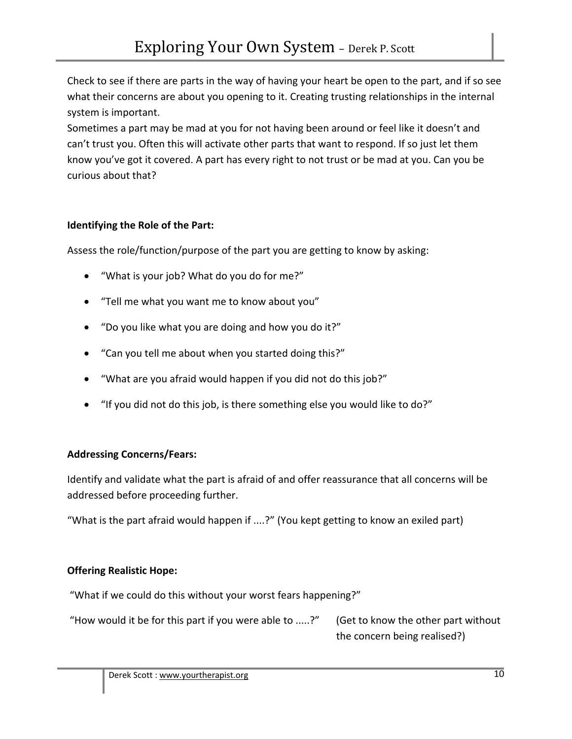Check to see if there are parts in the way of having your heart be open to the part, and if so see what their concerns are about you opening to it. Creating trusting relationships in the internal system is important.

Sometimes a part may be mad at you for not having been around or feel like it doesn't and can't trust you. Often this will activate other parts that want to respond. If so just let them know you've got it covered. A part has every right to not trust or be mad at you. Can you be curious about that?

## **Identifying the Role of the Part:**

Assess the role/function/purpose of the part you are getting to know by asking:

- "What is your job? What do you do for me?"
- "Tell me what you want me to know about you"
- "Do you like what you are doing and how you do it?"
- "Can you tell me about when you started doing this?"
- "What are you afraid would happen if you did not do this job?"
- "If you did not do this job, is there something else you would like to do?"

## **Addressing Concerns/Fears:**

Identify and validate what the part is afraid of and offer reassurance that all concerns will be addressed before proceeding further.

"What is the part afraid would happen if ....?" (You kept getting to know an exiled part)

# **Offering Realistic Hope:**

"What if we could do this without your worst fears happening?"

 "How would it be for this part if you were able to .....?" (Get to know the other part without the concern being realised?)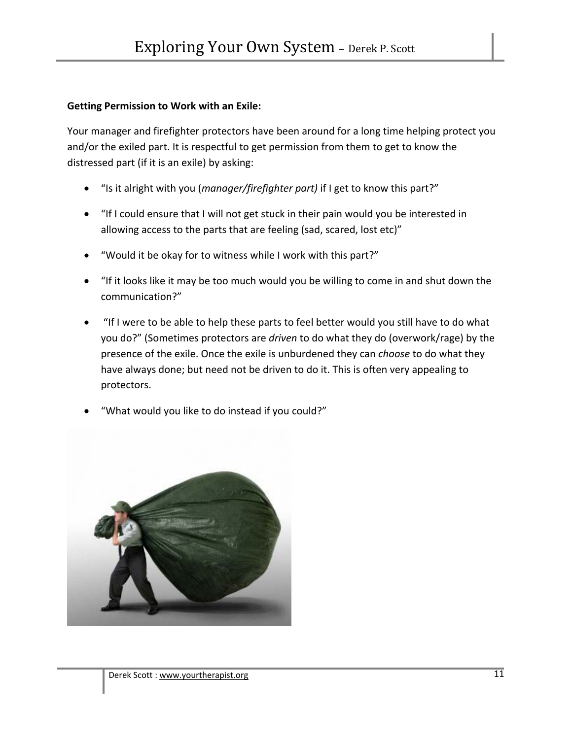### **Getting Permission to Work with an Exile:**

Your manager and firefighter protectors have been around for a long time helping protect you and/or the exiled part. It is respectful to get permission from them to get to know the distressed part (if it is an exile) by asking:

- "Is it alright with you (*manager/firefighter part)* if I get to know this part?"
- "If I could ensure that I will not get stuck in their pain would you be interested in allowing access to the parts that are feeling (sad, scared, lost etc)"
- "Would it be okay for to witness while I work with this part?"
- "If it looks like it may be too much would you be willing to come in and shut down the communication?"
- "If I were to be able to help these parts to feel better would you still have to do what you do?" (Sometimes protectors are *driven* to do what they do (overwork/rage) by the presence of the exile. Once the exile is unburdened they can *choose* to do what they have always done; but need not be driven to do it. This is often very appealing to protectors.
- "What would you like to do instead if you could?"

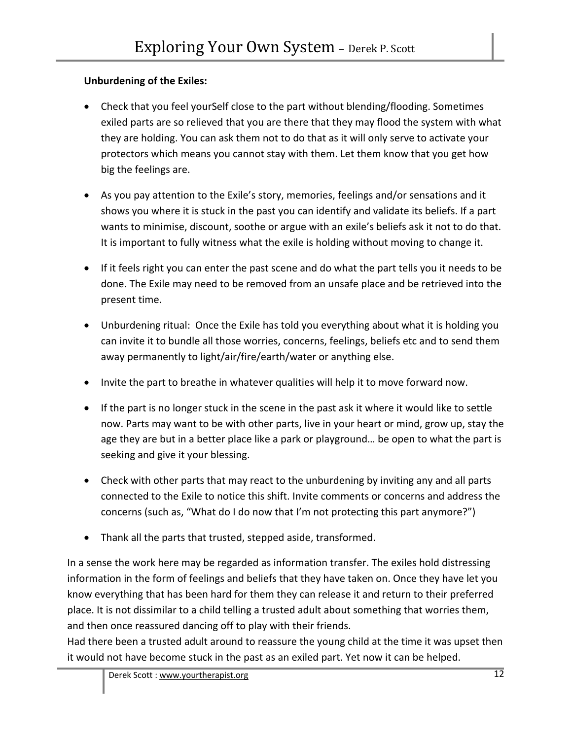# **Unburdening of the Exiles:**

- Check that you feel yourSelf close to the part without blending/flooding. Sometimes exiled parts are so relieved that you are there that they may flood the system with what they are holding. You can ask them not to do that as it will only serve to activate your protectors which means you cannot stay with them. Let them know that you get how big the feelings are.
- As you pay attention to the Exile's story, memories, feelings and/or sensations and it shows you where it is stuck in the past you can identify and validate its beliefs. If a part wants to minimise, discount, soothe or argue with an exile's beliefs ask it not to do that. It is important to fully witness what the exile is holding without moving to change it.
- If it feels right you can enter the past scene and do what the part tells you it needs to be done. The Exile may need to be removed from an unsafe place and be retrieved into the present time.
- Unburdening ritual: Once the Exile has told you everything about what it is holding you can invite it to bundle all those worries, concerns, feelings, beliefs etc and to send them away permanently to light/air/fire/earth/water or anything else.
- Invite the part to breathe in whatever qualities will help it to move forward now.
- If the part is no longer stuck in the scene in the past ask it where it would like to settle now. Parts may want to be with other parts, live in your heart or mind, grow up, stay the age they are but in a better place like a park or playground… be open to what the part is seeking and give it your blessing.
- Check with other parts that may react to the unburdening by inviting any and all parts connected to the Exile to notice this shift. Invite comments or concerns and address the concerns (such as, "What do I do now that I'm not protecting this part anymore?")
- Thank all the parts that trusted, stepped aside, transformed.

In a sense the work here may be regarded as information transfer. The exiles hold distressing information in the form of feelings and beliefs that they have taken on. Once they have let you know everything that has been hard for them they can release it and return to their preferred place. It is not dissimilar to a child telling a trusted adult about something that worries them, and then once reassured dancing off to play with their friends.

Had there been a trusted adult around to reassure the young child at the time it was upset then it would not have become stuck in the past as an exiled part. Yet now it can be helped.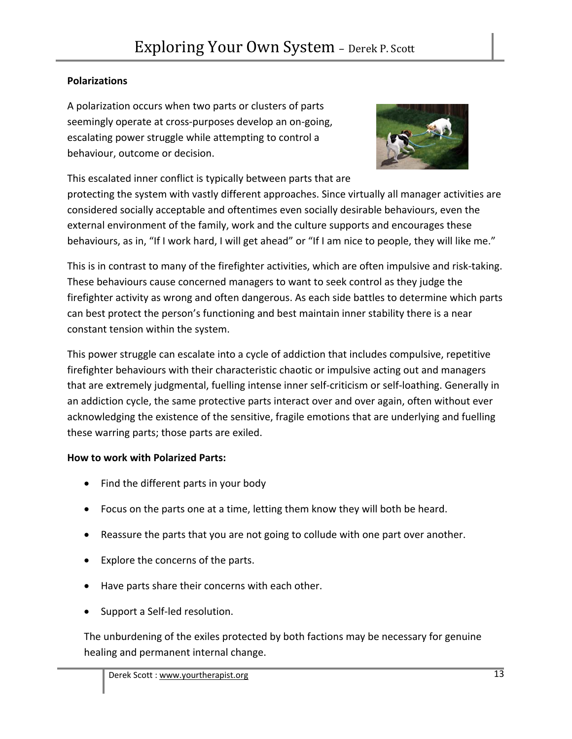## **Polarizations**

A polarization occurs when two parts or clusters of parts seemingly operate at cross‐purposes develop an on‐going, escalating power struggle while attempting to control a behaviour, outcome or decision.



This escalated inner conflict is typically between parts that are protecting the system with vastly different approaches. Since virtually all manager activities are considered socially acceptable and oftentimes even socially desirable behaviours, even the external environment of the family, work and the culture supports and encourages these behaviours, as in, "If I work hard, I will get ahead" or "If I am nice to people, they will like me."

This is in contrast to many of the firefighter activities, which are often impulsive and risk‐taking. These behaviours cause concerned managers to want to seek control as they judge the firefighter activity as wrong and often dangerous. As each side battles to determine which parts can best protect the person's functioning and best maintain inner stability there is a near constant tension within the system.

This power struggle can escalate into a cycle of addiction that includes compulsive, repetitive firefighter behaviours with their characteristic chaotic or impulsive acting out and managers that are extremely judgmental, fuelling intense inner self‐criticism or self‐loathing. Generally in an addiction cycle, the same protective parts interact over and over again, often without ever acknowledging the existence of the sensitive, fragile emotions that are underlying and fuelling these warring parts; those parts are exiled.

## **How to work with Polarized Parts:**

- Find the different parts in your body
- Focus on the parts one at a time, letting them know they will both be heard.
- Reassure the parts that you are not going to collude with one part over another.
- Explore the concerns of the parts.
- Have parts share their concerns with each other.
- Support a Self-led resolution.

The unburdening of the exiles protected by both factions may be necessary for genuine healing and permanent internal change.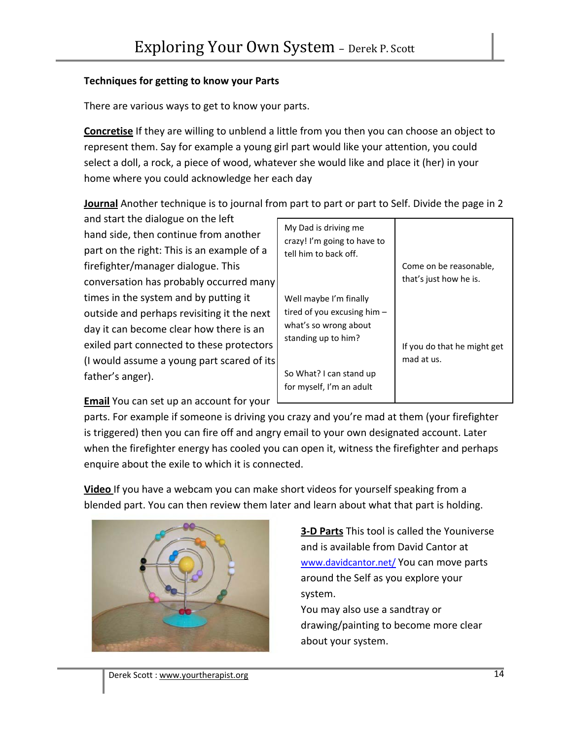## **Techniques for getting to know your Parts**

There are various ways to get to know your parts.

**Concretise** If they are willing to unblend a little from you then you can choose an object to represent them. Say for example a young girl part would like your attention, you could select a doll, a rock, a piece of wood, whatever she would like and place it (her) in your home where you could acknowledge her each day

**Journal** Another technique is to journal from part to part or part to Self. Divide the page in 2

and start the dialogue on the left hand side, then continue from another part on the right: This is an example of a firefighter/manager dialogue. This conversation has probably occurred many times in the system and by putting it outside and perhaps revisiting it the next day it can become clear how there is an exiled part connected to these protectors (I would assume a young part scared of its father's anger).

| My Dad is driving me<br>crazy! I'm going to have to<br>tell him to back off.                            | Come on be reasonable,<br>that's just how he is. |
|---------------------------------------------------------------------------------------------------------|--------------------------------------------------|
| Well maybe I'm finally<br>tired of you excusing him $-$<br>what's so wrong about<br>standing up to him? | If you do that he might get<br>mad at us.        |
| So What? I can stand up<br>for myself, I'm an adult                                                     |                                                  |

**Email** You can set up an account for your

parts. For example if someone is driving you crazy and you're mad at them (your firefighter is triggered) then you can fire off and angry email to your own designated account. Later when the firefighter energy has cooled you can open it, witness the firefighter and perhaps enquire about the exile to which it is connected.

**Video** If you have a webcam you can make short videos for yourself speaking from a blended part. You can then review them later and learn about what that part is holding.



**3‐D Parts** This tool is called the Youniverse and is available from David Cantor at www.davidcantor.net/ You can move parts around the Self as you explore your system.

You may also use a sandtray or drawing/painting to become more clear about your system.